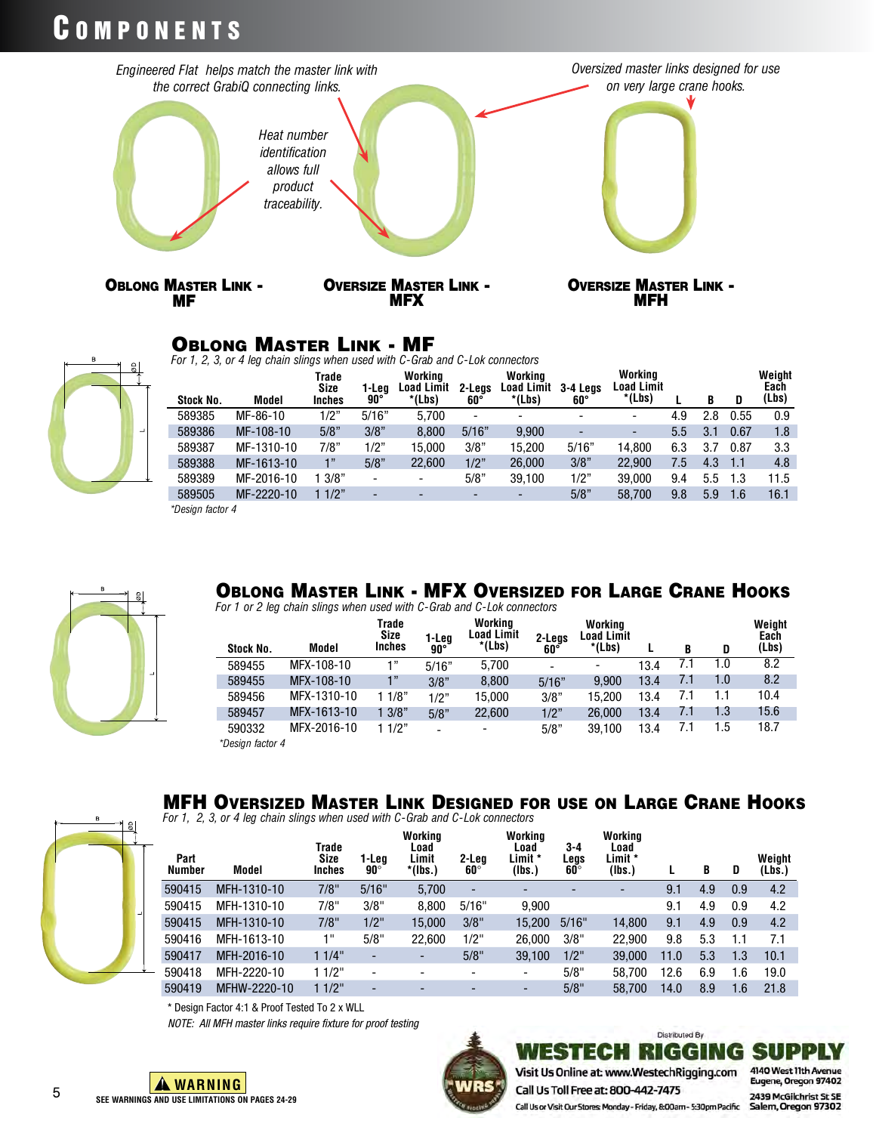# COMPONENTS



#### Oblong Master Link - MF

*For 1, 2, 3, or 4 leg chain slings when used with C-Grab and C-Lok connectors*

| Stock No.           | <b>Model</b> | Trade<br><b>Size</b><br>Inches | 1-Lea<br>$90^{\circ}$    | Working<br>Load Limit<br>*(Lbs) | 2-Leas<br>60°            | Working<br><b>Load Limit</b><br>*(Lbs) | 3-4 Leas<br>$60^\circ$ | Working<br><b>Load Limit</b><br>*(Lbs) |     | B   | D    | Weight<br>Each<br>(Lbs) |
|---------------------|--------------|--------------------------------|--------------------------|---------------------------------|--------------------------|----------------------------------------|------------------------|----------------------------------------|-----|-----|------|-------------------------|
| 589385              | MF-86-10     | 1/2"                           | 5/16"                    | 5.700                           | $\overline{\phantom{0}}$ |                                        |                        |                                        | 4.9 | 2.8 | 0.55 | 0.9                     |
| 589386              | MF-108-10    | 5/8"                           | 3/8"                     | 8.800                           | 5/16"                    | 9.900                                  |                        | -                                      | 5.5 | 3.1 | 0.67 | 1.8                     |
| 589387              | MF-1310-10   | 7/8"                           | 1/2"                     | 15.000                          | 3/8"                     | 15.200                                 | 5/16"                  | 14.800                                 | 6.3 | 3.7 | 0.87 | 3.3                     |
| 589388              | MF-1613-10   | 1"                             | 5/8"                     | 22,600                          | 1/2"                     | 26,000                                 | 3/8"                   | 22.900                                 | 7.5 | 4.3 | 1.1  | 4.8                     |
| 589389              | MF-2016-10   | 3/8"                           | $\overline{\phantom{a}}$ |                                 | 5/8"                     | 39.100                                 | 1/2"                   | 39.000                                 | 9.4 | 5.5 | 1.3  | 11.5                    |
| 589505              | MF-2220-10   | 11/2"                          | -                        |                                 |                          |                                        | 5/8"                   | 58.700                                 | 9.8 | 5.9 | 1.6  | 16.1                    |
| $*$ Decima factor A |              |                                |                          |                                 |                          |                                        |                        |                                        |     |     |      |                         |

*\*Design factor 4*



#### Oblong Master Link - MFX Oversized for Large Crane Hooks

*For 1 or 2 leg chain slings when used with C-Grab and C-Lok connectors*

| Stock No.        | Model       | Trade<br>Size<br><b>Inches</b> | 1-Leg<br>$90^{\circ}$ | Working<br><b>Load Limit</b><br>*(Lbs) | 2-Legs<br>60°            | Working<br>Load Limit<br>*(Lbs) |      | B   | D   | Weight<br>Each<br>(Lbs) |
|------------------|-------------|--------------------------------|-----------------------|----------------------------------------|--------------------------|---------------------------------|------|-----|-----|-------------------------|
| 589455           | MFX-108-10  | 1"                             | 5/16"                 | 5.700                                  | $\overline{\phantom{a}}$ |                                 | 13.4 | 7.1 | 1.0 | 8.2                     |
| 589455           | MFX-108-10  | 1"                             | 3/8"                  | 8.800                                  | 5/16"                    | 9.900                           | 13.4 | 7.1 | 1.0 | 8.2                     |
| 589456           | MFX-1310-10 | 11/8"                          | 1/2"                  | 15.000                                 | 3/8"                     | 15.200                          | 13.4 | 7.1 | 1.1 | 10.4                    |
| 589457           | MFX-1613-10 | 13/8"                          | 5/8"                  | 22.600                                 | 1/2"                     | 26,000                          | 13.4 | 7.1 | 1.3 | 15.6                    |
| 590332           | MFX-2016-10 | 11/2"                          |                       | $\overline{\phantom{a}}$               | 5/8"                     | 39.100                          | 13.4 | 7.1 | 1.5 | 18.7                    |
| *Design factor 4 |             |                                |                       |                                        |                          |                                 |      |     |     |                         |

### MFH Oversized Master Link Designed for use on Large Crane Hooks

*For 1, 2, 3, or 4 leg chain slings when used with C-Grab and C-Lok connectors*

| Part<br>Number | Model        | Trade<br>Size<br><b>Inches</b> | 1-Lea<br>$90^{\circ}$ | Working<br>Load<br>Limit<br>*(lbs.) | 2-Lea<br>$60^\circ$      | Working<br>Load<br>Limit *<br>(Ibs.) | 3-4<br>Legs<br>$60^\circ$ | Working<br>Load<br>Limit *<br>(Ibs.) |      | B   | D   | Weight<br>(Lbs.) |
|----------------|--------------|--------------------------------|-----------------------|-------------------------------------|--------------------------|--------------------------------------|---------------------------|--------------------------------------|------|-----|-----|------------------|
| 590415         | MFH-1310-10  | 7/8"                           | 5/16"                 | 5.700                               | $\overline{\phantom{a}}$ | -                                    |                           | $\overline{\phantom{a}}$             | 9.1  | 4.9 | 0.9 | 4.2              |
| 590415         | MFH-1310-10  | 7/8"                           | 3/8"                  | 8.800                               | 5/16"                    | 9.900                                |                           |                                      | 9.1  | 4.9 | 0.9 | 4.2              |
| 590415         | MFH-1310-10  | 7/8"                           | $1/2$ "               | 15.000                              | 3/8"                     | 15.200                               | 5/16"                     | 14.800                               | 9.1  | 4.9 | 0.9 | 4.2              |
| 590416         | MFH-1613-10  | 1"                             | 5/8"                  | 22.600                              | 1/2"                     | 26.000                               | 3/8"                      | 22.900                               | 9.8  | 5.3 | 1.1 | 7.1              |
| 590417         | MFH-2016-10  | 11/4"                          |                       | $\overline{\phantom{a}}$            | 5/8"                     | 39.100                               | $1/2$ "                   | 39,000                               | 11.0 | 5.3 | 1.3 | 10.1             |
| 590418         | MFH-2220-10  | 11/2"                          |                       | $\overline{\phantom{a}}$            |                          | ۰                                    | 5/8"                      | 58.700                               | 12.6 | 6.9 | 1.6 | 19.0             |
| 590419         | MFHW-2220-10 | 11/2"                          |                       | -                                   |                          | -                                    | 5/8"                      | 58.700                               | 14.0 | 8.9 | 1.6 | 21.8             |



*NOTE: All MFH master links require fixture for proof testing*



**Distributed By** WESTECH RIGGING SUPPLY

Visit Us Online at: www.WestechRigging.com Call Us Toll Free at: 800-442-7475

4140 West 11th Avenue Eugene, Oregon 97402 2439 McGilchrist St SE Call Us or Visit Our Stores: Monday - Friday, 8:00am - 5:30pm Pacific Salem, Oregon 97302